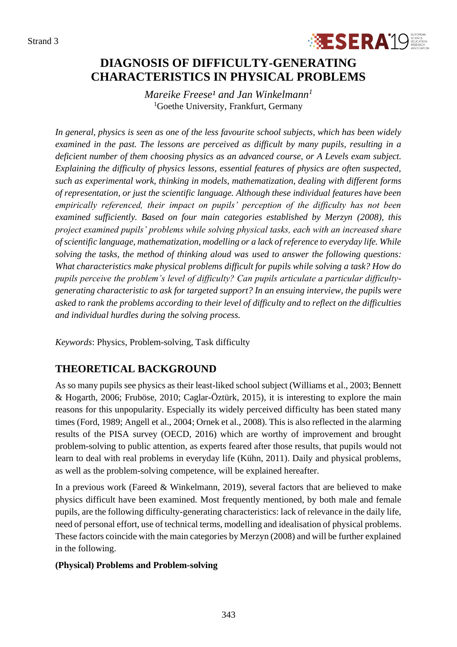

# **DIAGNOSIS OF DIFFICULTY-GENERATING CHARACTERISTICS IN PHYSICAL PROBLEMS**

*Mareike Freese<sup>1</sup> and Jan Winkelmann<sup>1</sup>* <sup>1</sup>Goethe University, Frankfurt, Germany

*In general, physics is seen as one of the less favourite school subjects, which has been widely examined in the past. The lessons are perceived as difficult by many pupils, resulting in a deficient number of them choosing physics as an advanced course, or A Levels exam subject. Explaining the difficulty of physics lessons, essential features of physics are often suspected, such as experimental work, thinking in models, mathematization, dealing with different forms of representation, or just the scientific language. Although these individual features have been empirically referenced, their impact on pupils' perception of the difficulty has not been examined sufficiently. Based on four main categories established by Merzyn (2008), this project examined pupils' problems while solving physical tasks, each with an increased share of scientific language, mathematization, modelling or a lack of reference to everyday life. While solving the tasks, the method of thinking aloud was used to answer the following questions: What characteristics make physical problems difficult for pupils while solving a task? How do pupils perceive the problem's level of difficulty? Can pupils articulate a particular difficultygenerating characteristic to ask for targeted support? In an ensuing interview, the pupils were asked to rank the problems according to their level of difficulty and to reflect on the difficulties and individual hurdles during the solving process.*

*Keywords*: Physics, Problem-solving, Task difficulty

## **THEORETICAL BACKGROUND**

As so many pupils see physics as their least-liked school subject (Williams et al., 2003; Bennett & Hogarth, 2006; Fruböse, 2010; Caglar-Öztürk, 2015), it is interesting to explore the main reasons for this unpopularity. Especially its widely perceived difficulty has been stated many times (Ford, 1989; Angell et al., 2004; Ornek et al., 2008). This is also reflected in the alarming results of the PISA survey (OECD, 2016) which are worthy of improvement and brought problem-solving to public attention, as experts feared after those results, that pupils would not learn to deal with real problems in everyday life (Kühn, 2011). Daily and physical problems, as well as the problem-solving competence, will be explained hereafter.

In a previous work (Fareed & Winkelmann, 2019), several factors that are believed to make physics difficult have been examined. Most frequently mentioned, by both male and female pupils, are the following difficulty-generating characteristics: lack of relevance in the daily life, need of personal effort, use of technical terms, modelling and idealisation of physical problems. These factors coincide with the main categories by Merzyn (2008) and will be further explained in the following.

#### **(Physical) Problems and Problem-solving**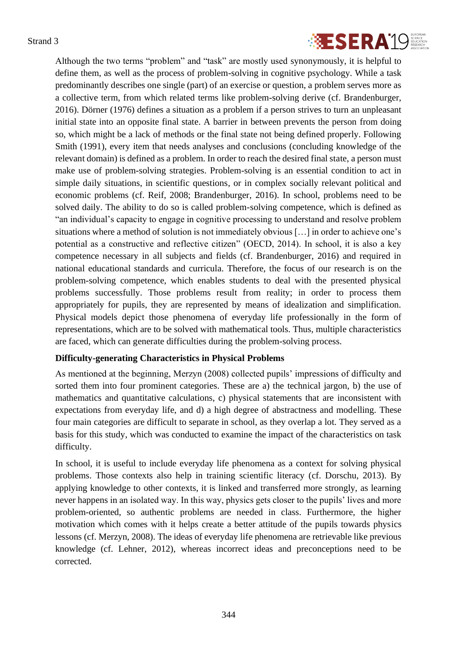

Although the two terms "problem" and "task" are mostly used synonymously, it is helpful to define them, as well as the process of problem-solving in cognitive psychology. While a task predominantly describes one single (part) of an exercise or question, a problem serves more as a collective term, from which related terms like problem-solving derive (cf. Brandenburger, 2016). Dörner (1976) defines a situation as a problem if a person strives to turn an unpleasant initial state into an opposite final state. A barrier in between prevents the person from doing so, which might be a lack of methods or the final state not being defined properly. Following Smith (1991), every item that needs analyses and conclusions (concluding knowledge of the relevant domain) is defined as a problem. In order to reach the desired final state, a person must make use of problem-solving strategies. Problem-solving is an essential condition to act in simple daily situations, in scientific questions, or in complex socially relevant political and economic problems (cf. Reif, 2008; Brandenburger, 2016). In school, problems need to be solved daily. The ability to do so is called problem-solving competence, which is defined as "an individual's capacity to engage in cognitive processing to understand and resolve problem situations where a method of solution is not immediately obvious […] in order to achieve one's potential as a constructive and reflective citizen" (OECD, 2014). In school, it is also a key competence necessary in all subjects and fields (cf. Brandenburger, 2016) and required in national educational standards and curricula. Therefore, the focus of our research is on the problem-solving competence, which enables students to deal with the presented physical problems successfully. Those problems result from reality; in order to process them appropriately for pupils, they are represented by means of idealization and simplification. Physical models depict those phenomena of everyday life professionally in the form of representations, which are to be solved with mathematical tools. Thus, multiple characteristics are faced, which can generate difficulties during the problem-solving process.

#### **Difficulty-generating Characteristics in Physical Problems**

As mentioned at the beginning, Merzyn (2008) collected pupils' impressions of difficulty and sorted them into four prominent categories. These are a) the technical jargon, b) the use of mathematics and quantitative calculations, c) physical statements that are inconsistent with expectations from everyday life, and d) a high degree of abstractness and modelling. These four main categories are difficult to separate in school, as they overlap a lot. They served as a basis for this study, which was conducted to examine the impact of the characteristics on task difficulty.

In school, it is useful to include everyday life phenomena as a context for solving physical problems. Those contexts also help in training scientific literacy (cf. Dorschu, 2013). By applying knowledge to other contexts, it is linked and transferred more strongly, as learning never happens in an isolated way. In this way, physics gets closer to the pupils' lives and more problem-oriented, so authentic problems are needed in class. Furthermore, the higher motivation which comes with it helps create a better attitude of the pupils towards physics lessons (cf. Merzyn, 2008). The ideas of everyday life phenomena are retrievable like previous knowledge (cf. Lehner, 2012), whereas incorrect ideas and preconceptions need to be corrected.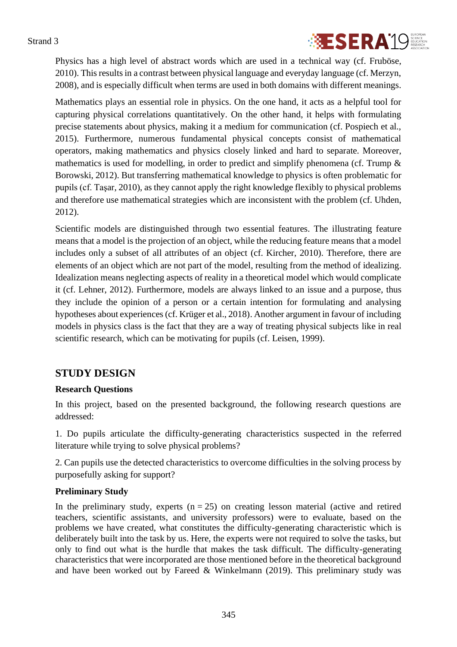

Physics has a high level of abstract words which are used in a technical way (cf. Fruböse, 2010). This results in a contrast between physical language and everyday language (cf. Merzyn, 2008), and is especially difficult when terms are used in both domains with different meanings.

Mathematics plays an essential role in physics. On the one hand, it acts as a helpful tool for capturing physical correlations quantitatively. On the other hand, it helps with formulating precise statements about physics, making it a medium for communication (cf. Pospiech et al., 2015). Furthermore, numerous fundamental physical concepts consist of mathematical operators, making mathematics and physics closely linked and hard to separate. Moreover, mathematics is used for modelling, in order to predict and simplify phenomena (cf. Trump & Borowski, 2012). But transferring mathematical knowledge to physics is often problematic for pupils (cf. Taşar, 2010), as they cannot apply the right knowledge flexibly to physical problems and therefore use mathematical strategies which are inconsistent with the problem (cf. Uhden, 2012).

Scientific models are distinguished through two essential features. The illustrating feature means that a model is the projection of an object, while the reducing feature means that a model includes only a subset of all attributes of an object (cf. Kircher, 2010). Therefore, there are elements of an object which are not part of the model, resulting from the method of idealizing. Idealization means neglecting aspects of reality in a theoretical model which would complicate it (cf. Lehner, 2012). Furthermore, models are always linked to an issue and a purpose, thus they include the opinion of a person or a certain intention for formulating and analysing hypotheses about experiences (cf. Krüger et al., 2018). Another argument in favour of including models in physics class is the fact that they are a way of treating physical subjects like in real scientific research, which can be motivating for pupils (cf. Leisen, 1999).

## **STUDY DESIGN**

#### **Research Questions**

In this project, based on the presented background, the following research questions are addressed:

1. Do pupils articulate the difficulty-generating characteristics suspected in the referred literature while trying to solve physical problems?

2. Can pupils use the detected characteristics to overcome difficulties in the solving process by purposefully asking for support?

#### **Preliminary Study**

In the preliminary study, experts  $(n = 25)$  on creating lesson material (active and retired teachers, scientific assistants, and university professors) were to evaluate, based on the problems we have created, what constitutes the difficulty-generating characteristic which is deliberately built into the task by us. Here, the experts were not required to solve the tasks, but only to find out what is the hurdle that makes the task difficult. The difficulty-generating characteristics that were incorporated are those mentioned before in the theoretical background and have been worked out by Fareed  $&$  Winkelmann (2019). This preliminary study was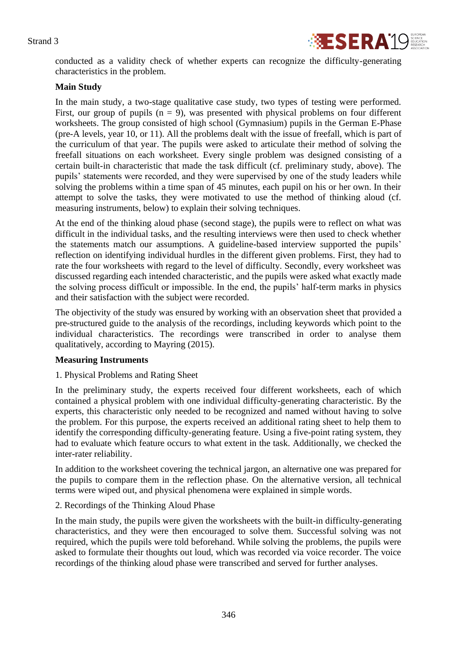

conducted as a validity check of whether experts can recognize the difficulty-generating characteristics in the problem.

#### **Main Study**

In the main study, a two-stage qualitative case study, two types of testing were performed. First, our group of pupils  $(n = 9)$ , was presented with physical problems on four different worksheets. The group consisted of high school (Gymnasium) pupils in the German E-Phase (pre-A levels, year 10, or 11). All the problems dealt with the issue of freefall, which is part of the curriculum of that year. The pupils were asked to articulate their method of solving the freefall situations on each worksheet. Every single problem was designed consisting of a certain built-in characteristic that made the task difficult (cf. preliminary study, above). The pupils' statements were recorded, and they were supervised by one of the study leaders while solving the problems within a time span of 45 minutes, each pupil on his or her own. In their attempt to solve the tasks, they were motivated to use the method of thinking aloud (cf. measuring instruments, below) to explain their solving techniques.

At the end of the thinking aloud phase (second stage), the pupils were to reflect on what was difficult in the individual tasks, and the resulting interviews were then used to check whether the statements match our assumptions. A guideline-based interview supported the pupils' reflection on identifying individual hurdles in the different given problems. First, they had to rate the four worksheets with regard to the level of difficulty. Secondly, every worksheet was discussed regarding each intended characteristic, and the pupils were asked what exactly made the solving process difficult or impossible. In the end, the pupils' half-term marks in physics and their satisfaction with the subject were recorded.

The objectivity of the study was ensured by working with an observation sheet that provided a pre-structured guide to the analysis of the recordings, including keywords which point to the individual characteristics. The recordings were transcribed in order to analyse them qualitatively, according to Mayring (2015).

#### **Measuring Instruments**

1. Physical Problems and Rating Sheet

In the preliminary study, the experts received four different worksheets, each of which contained a physical problem with one individual difficulty-generating characteristic. By the experts, this characteristic only needed to be recognized and named without having to solve the problem. For this purpose, the experts received an additional rating sheet to help them to identify the corresponding difficulty-generating feature. Using a five-point rating system, they had to evaluate which feature occurs to what extent in the task. Additionally, we checked the inter-rater reliability.

In addition to the worksheet covering the technical jargon, an alternative one was prepared for the pupils to compare them in the reflection phase. On the alternative version, all technical terms were wiped out, and physical phenomena were explained in simple words.

#### 2. Recordings of the Thinking Aloud Phase

In the main study, the pupils were given the worksheets with the built-in difficulty-generating characteristics, and they were then encouraged to solve them. Successful solving was not required, which the pupils were told beforehand. While solving the problems, the pupils were asked to formulate their thoughts out loud, which was recorded via voice recorder. The voice recordings of the thinking aloud phase were transcribed and served for further analyses.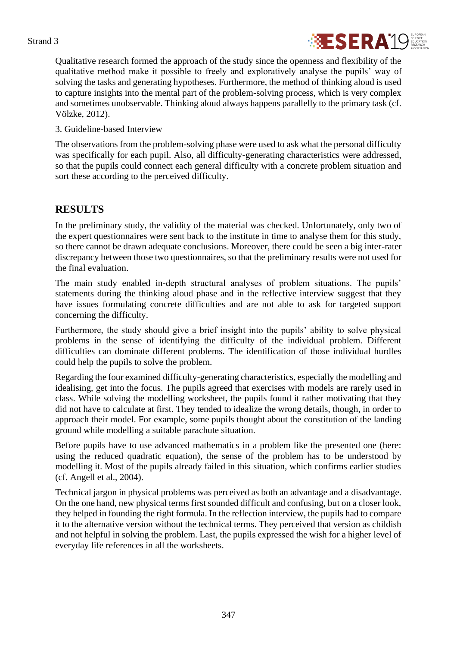

Qualitative research formed the approach of the study since the openness and flexibility of the qualitative method make it possible to freely and exploratively analyse the pupils' way of solving the tasks and generating hypotheses. Furthermore, the method of thinking aloud is used to capture insights into the mental part of the problem-solving process, which is very complex and sometimes unobservable. Thinking aloud always happens parallelly to the primary task (cf. Völzke, 2012).

3. Guideline-based Interview

The observations from the problem-solving phase were used to ask what the personal difficulty was specifically for each pupil. Also, all difficulty-generating characteristics were addressed, so that the pupils could connect each general difficulty with a concrete problem situation and sort these according to the perceived difficulty.

## **RESULTS**

In the preliminary study, the validity of the material was checked. Unfortunately, only two of the expert questionnaires were sent back to the institute in time to analyse them for this study, so there cannot be drawn adequate conclusions. Moreover, there could be seen a big inter-rater discrepancy between those two questionnaires, so that the preliminary results were not used for the final evaluation.

The main study enabled in-depth structural analyses of problem situations. The pupils' statements during the thinking aloud phase and in the reflective interview suggest that they have issues formulating concrete difficulties and are not able to ask for targeted support concerning the difficulty.

Furthermore, the study should give a brief insight into the pupils' ability to solve physical problems in the sense of identifying the difficulty of the individual problem. Different difficulties can dominate different problems. The identification of those individual hurdles could help the pupils to solve the problem.

Regarding the four examined difficulty-generating characteristics, especially the modelling and idealising, get into the focus. The pupils agreed that exercises with models are rarely used in class. While solving the modelling worksheet, the pupils found it rather motivating that they did not have to calculate at first. They tended to idealize the wrong details, though, in order to approach their model. For example, some pupils thought about the constitution of the landing ground while modelling a suitable parachute situation.

Before pupils have to use advanced mathematics in a problem like the presented one (here: using the reduced quadratic equation), the sense of the problem has to be understood by modelling it. Most of the pupils already failed in this situation, which confirms earlier studies (cf. Angell et al., 2004).

Technical jargon in physical problems was perceived as both an advantage and a disadvantage. On the one hand, new physical terms first sounded difficult and confusing, but on a closer look, they helped in founding the right formula. In the reflection interview, the pupils had to compare it to the alternative version without the technical terms. They perceived that version as childish and not helpful in solving the problem. Last, the pupils expressed the wish for a higher level of everyday life references in all the worksheets.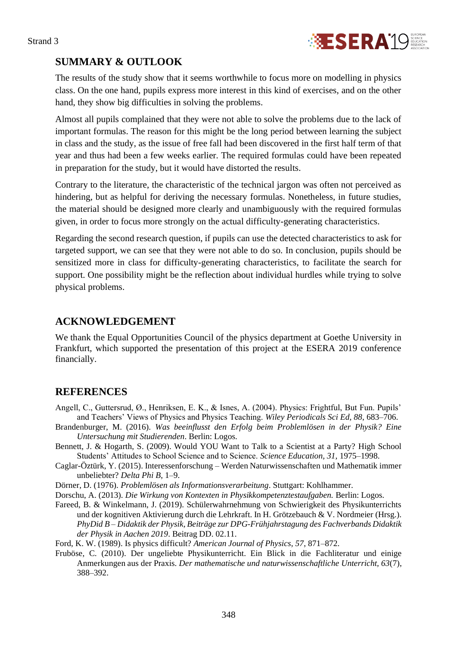

## **SUMMARY & OUTLOOK**

The results of the study show that it seems worthwhile to focus more on modelling in physics class. On the one hand, pupils express more interest in this kind of exercises, and on the other hand, they show big difficulties in solving the problems.

Almost all pupils complained that they were not able to solve the problems due to the lack of important formulas. The reason for this might be the long period between learning the subject in class and the study, as the issue of free fall had been discovered in the first half term of that year and thus had been a few weeks earlier. The required formulas could have been repeated in preparation for the study, but it would have distorted the results.

Contrary to the literature, the characteristic of the technical jargon was often not perceived as hindering, but as helpful for deriving the necessary formulas. Nonetheless, in future studies, the material should be designed more clearly and unambiguously with the required formulas given, in order to focus more strongly on the actual difficulty-generating characteristics.

Regarding the second research question, if pupils can use the detected characteristics to ask for targeted support, we can see that they were not able to do so. In conclusion, pupils should be sensitized more in class for difficulty-generating characteristics, to facilitate the search for support. One possibility might be the reflection about individual hurdles while trying to solve physical problems.

## **ACKNOWLEDGEMENT**

We thank the Equal Opportunities Council of the physics department at Goethe University in Frankfurt, which supported the presentation of this project at the ESERA 2019 conference financially.

## **REFERENCES**

- Angell, C., Guttersrud, Ø., Henriksen, E. K., & Isnes, A. (2004). Physics: Frightful, But Fun. Pupils' and Teachers' Views of Physics and Physics Teaching. *Wiley Periodicals Sci Ed, 88*, 683–706.
- Brandenburger, M. (2016). *Was beeinflusst den Erfolg beim Problemlösen in der Physik? Eine Untersuchung mit Studierenden*. Berlin: Logos.
- Bennett, J. & Hogarth, S. (2009). Would YOU Want to Talk to a Scientist at a Party? High School Students' Attitudes to School Science and to Science. *Science Education, 31,* 1975–1998.
- Caglar-Öztürk, Y. (2015). Interessenforschung Werden Naturwissenschaften und Mathematik immer unbeliebter? *Delta Phi B*, 1–9.
- Dörner, D. (1976). *Problemlösen als Informationsverarbeitung*. Stuttgart: Kohlhammer.
- Dorschu, A. (2013). *Die Wirkung von Kontexten in Physikkompetenztestaufgaben.* Berlin: Logos.
- Fareed, B. & Winkelmann, J. (2019). Schülerwahrnehmung von Schwierigkeit des Physikunterrichts und der kognitiven Aktivierung durch die Lehrkraft. In H. Grötzebauch & V. Nordmeier (Hrsg.). *PhyDid B – Didaktik der Physik, Beiträge zur DPG-Frühjahrstagung des Fachverbands Didaktik der Physik in Aachen 2019*. Beitrag DD. 02.11.

Ford, K. W. (1989). Is physics difficult? *American Journal of Physics, 57*, 871–872.

Fruböse, C. (2010). Der ungeliebte Physikunterricht. Ein Blick in die Fachliteratur und einige Anmerkungen aus der Praxis. *Der mathematische und naturwissenschaftliche Unterricht, 63*(7), 388–392.